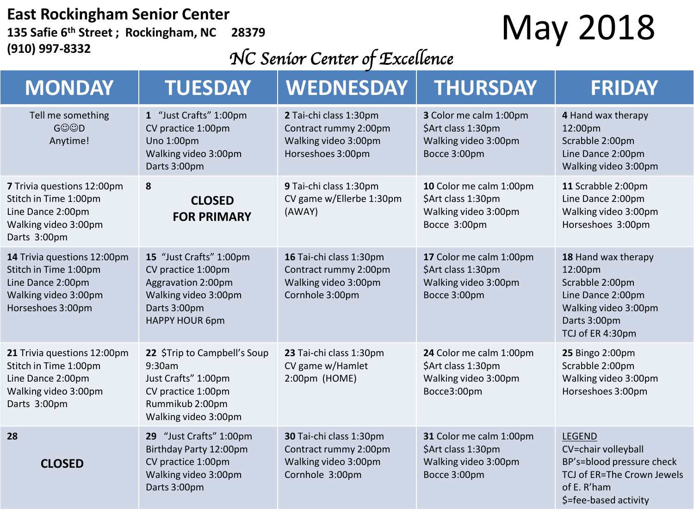#### **East Rockingham Senior Center 135 Safie 6th Street ; Rockingham, NC 28379 (910) 997-8332**

### May 2018

#### *NC Senior Center of Excellence*

| <b>MONDAY</b>                                                                                                          | <b>TUESDAY</b>                                                                                                                       | <b>WEDNESDAY</b>                                                                             | <b>THURSDAY</b>                                                                       | <b>FRIDAY</b>                                                                                                                           |
|------------------------------------------------------------------------------------------------------------------------|--------------------------------------------------------------------------------------------------------------------------------------|----------------------------------------------------------------------------------------------|---------------------------------------------------------------------------------------|-----------------------------------------------------------------------------------------------------------------------------------------|
| Tell me something<br><b>GOOD</b><br>Anytime!                                                                           | 1 "Just Crafts" 1:00pm<br>CV practice 1:00pm<br>Uno 1:00pm<br>Walking video 3:00pm<br>Darts 3:00pm                                   | 2 Tai-chi class 1:30pm<br>Contract rummy 2:00pm<br>Walking video 3:00pm<br>Horseshoes 3:00pm | 3 Color me calm 1:00pm<br>\$Art class 1:30pm<br>Walking video 3:00pm<br>Bocce 3:00pm  | 4 Hand wax therapy<br>12:00pm<br>Scrabble 2:00pm<br>Line Dance 2:00pm<br>Walking video 3:00pm                                           |
| 7 Trivia questions 12:00pm<br>Stitch in Time 1:00pm<br>Line Dance 2:00pm<br>Walking video 3:00pm<br>Darts 3:00pm       | 8<br><b>CLOSED</b><br><b>FOR PRIMARY</b>                                                                                             | 9 Tai-chi class 1:30pm<br>CV game w/Ellerbe 1:30pm<br>(AWAY)                                 | 10 Color me calm 1:00pm<br>\$Art class 1:30pm<br>Walking video 3:00pm<br>Bocce 3:00pm | 11 Scrabble 2:00pm<br>Line Dance 2:00pm<br>Walking video 3:00pm<br>Horseshoes 3:00pm                                                    |
| 14 Trivia questions 12:00pm<br>Stitch in Time 1:00pm<br>Line Dance 2:00pm<br>Walking video 3:00pm<br>Horseshoes 3:00pm | 15 "Just Crafts" 1:00pm<br>CV practice 1:00pm<br>Aggravation 2:00pm<br>Walking video 3:00pm<br>Darts 3:00pm<br><b>HAPPY HOUR 6pm</b> | 16 Tai-chi class 1:30pm<br>Contract rummy 2:00pm<br>Walking video 3:00pm<br>Cornhole 3:00pm  | 17 Color me calm 1:00pm<br>\$Art class 1:30pm<br>Walking video 3:00pm<br>Bocce 3:00pm | 18 Hand wax therapy<br>12:00pm<br>Scrabble 2:00pm<br>Line Dance 2:00pm<br>Walking video 3:00pm<br>Darts 3:00pm<br>TCJ of ER 4:30pm      |
| 21 Trivia questions 12:00pm<br>Stitch in Time 1:00pm<br>Line Dance 2:00pm<br>Walking video 3:00pm<br>Darts 3:00pm      | 22 \$Trip to Campbell's Soup<br>9:30am<br>Just Crafts" 1:00pm<br>CV practice 1:00pm<br>Rummikub 2:00pm<br>Walking video 3:00pm       | 23 Tai-chi class 1:30pm<br>CV game w/Hamlet<br>2:00pm (HOME)                                 | 24 Color me calm 1:00pm<br>\$Art class 1:30pm<br>Walking video 3:00pm<br>Bocce3:00pm  | 25 Bingo 2:00pm<br>Scrabble 2:00pm<br>Walking video 3:00pm<br>Horseshoes 3:00pm                                                         |
| 28<br><b>CLOSED</b>                                                                                                    | 29 "Just Crafts" 1:00pm<br>Birthday Party 12:00pm<br>CV practice 1:00pm<br>Walking video 3:00pm<br>Darts 3:00pm                      | 30 Tai-chi class 1:30pm<br>Contract rummy 2:00pm<br>Walking video 3:00pm<br>Cornhole 3:00pm  | 31 Color me calm 1:00pm<br>\$Art class 1:30pm<br>Walking video 3:00pm<br>Bocce 3:00pm | <b>LEGEND</b><br>CV=chair volleyball<br>BP's=blood pressure check<br>TCJ of ER=The Crown Jewels<br>of E. R'ham<br>\$=fee-based activity |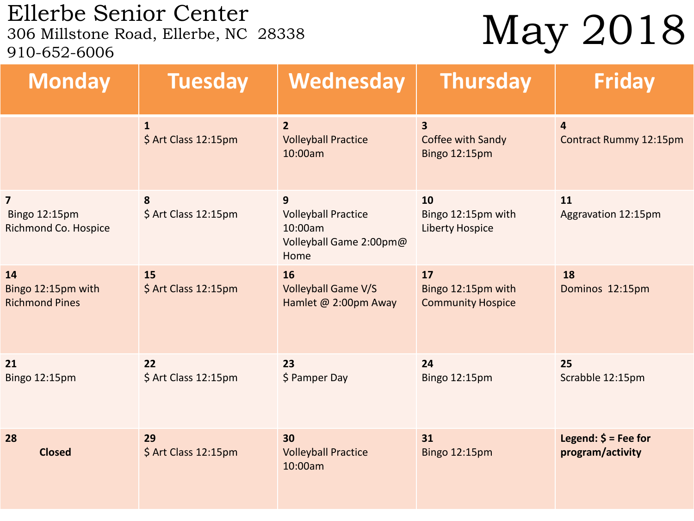### Ellerbe Senior Center<br>306 Millstone Road, Ellerbe, NC 28338 910-652-6006

## May 2018

| <b>Monday</b>                                                    | <b>Tuesday</b>                       | Wednesday                                                                     | <b>Thursday</b>                                      | <b>Friday</b>                                              |
|------------------------------------------------------------------|--------------------------------------|-------------------------------------------------------------------------------|------------------------------------------------------|------------------------------------------------------------|
|                                                                  | $\mathbf{1}$<br>\$ Art Class 12:15pm | $\overline{2}$<br><b>Volleyball Practice</b><br>10:00am                       | 3<br>Coffee with Sandy<br>Bingo 12:15pm              | $\overline{\mathbf{4}}$<br>Contract Rummy 12:15pm          |
| $\overline{\mathbf{z}}$<br>Bingo 12:15pm<br>Richmond Co. Hospice | 8<br>\$ Art Class 12:15pm            | 9<br><b>Volleyball Practice</b><br>10:00am<br>Volleyball Game 2:00pm@<br>Home | 10<br>Bingo 12:15pm with<br><b>Liberty Hospice</b>   | 11<br>Aggravation 12:15pm                                  |
| 14<br>Bingo 12:15pm with<br><b>Richmond Pines</b>                | 15<br>\$ Art Class 12:15pm           | 16<br><b>Volleyball Game V/S</b><br>Hamlet @ 2:00pm Away                      | 17<br>Bingo 12:15pm with<br><b>Community Hospice</b> | 18<br>Dominos 12:15pm                                      |
| 21<br>Bingo 12:15pm                                              | 22<br>\$ Art Class 12:15pm           | 23<br>\$ Pamper Day                                                           | 24<br><b>Bingo 12:15pm</b>                           | 25<br>Scrabble 12:15pm                                     |
| 28<br><b>Closed</b>                                              | 29<br>\$ Art Class 12:15pm           | 30<br><b>Volleyball Practice</b><br>10:00am                                   | 31<br>Bingo 12:15pm                                  | Legend: $\acute{\mathsf{s}}$ = Fee for<br>program/activity |